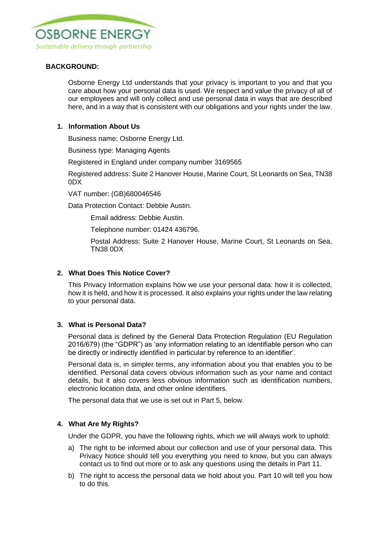

# **BACKGROUND:**

Osborne Energy Ltd understands that your privacy is important to you and that you care about how your personal data is used. We respect and value the privacy of all of our employees and will only collect and use personal data in ways that are described here, and in a way that is consistent with our obligations and your rights under the law.

## **1. Information About Us**

Business name: Osborne Energy Ltd.

Business type: Managing Agents

Registered in England under company number 3169565

Registered address: Suite 2 Hanover House, Marine Court, St Leonards on Sea, TN38 0DX

VAT number: (GB)680046546

Data Protection Contact: Debbie Austin.

Email address: Debbie Austin.

Telephone number: 01424 436796.

Postal Address: Suite 2 Hanover House, Marine Court, St Leonards on Sea, TN38 0DX

## **2. What Does This Notice Cover?**

This Privacy Information explains how we use your personal data: how it is collected, how it is held, and how it is processed. It also explains your rights under the law relating to your personal data.

## **3. What is Personal Data?**

Personal data is defined by the General Data Protection Regulation (EU Regulation 2016/679) (the "GDPR") as 'any information relating to an identifiable person who can be directly or indirectly identified in particular by reference to an identifier'.

Personal data is, in simpler terms, any information about you that enables you to be identified. Personal data covers obvious information such as your name and contact details, but it also covers less obvious information such as identification numbers, electronic location data, and other online identifiers.

The personal data that we use is set out in Part 5, below.

## **4. What Are My Rights?**

Under the GDPR, you have the following rights, which we will always work to uphold:

- a) The right to be informed about our collection and use of your personal data. This Privacy Notice should tell you everything you need to know, but you can always contact us to find out more or to ask any questions using the details in Part 11.
- b) The right to access the personal data we hold about you. Part 10 will tell you how to do this.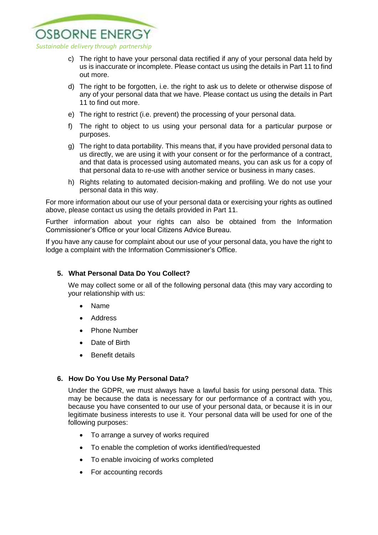

- c) The right to have your personal data rectified if any of your personal data held by us is inaccurate or incomplete. Please contact us using the details in Part 11 to find out more.
- d) The right to be forgotten, i.e. the right to ask us to delete or otherwise dispose of any of your personal data that we have. Please contact us using the details in Part 11 to find out more.
- e) The right to restrict (i.e. prevent) the processing of your personal data.
- f) The right to object to us using your personal data for a particular purpose or purposes.
- g) The right to data portability. This means that, if you have provided personal data to us directly, we are using it with your consent or for the performance of a contract, and that data is processed using automated means, you can ask us for a copy of that personal data to re-use with another service or business in many cases.
- h) Rights relating to automated decision-making and profiling. We do not use your personal data in this way.

For more information about our use of your personal data or exercising your rights as outlined above, please contact us using the details provided in Part 11.

Further information about your rights can also be obtained from the Information Commissioner's Office or your local Citizens Advice Bureau.

If you have any cause for complaint about our use of your personal data, you have the right to lodge a complaint with the Information Commissioner's Office.

## **5. What Personal Data Do You Collect?**

We may collect some or all of the following personal data (this may vary according to your relationship with us:

- Name
- Address
- Phone Number
- Date of Birth
- Benefit details

## **6. How Do You Use My Personal Data?**

Under the GDPR, we must always have a lawful basis for using personal data. This may be because the data is necessary for our performance of a contract with you, because you have consented to our use of your personal data, or because it is in our legitimate business interests to use it. Your personal data will be used for one of the following purposes:

- To arrange a survey of works required
- To enable the completion of works identified/requested
- To enable invoicing of works completed
- For accounting records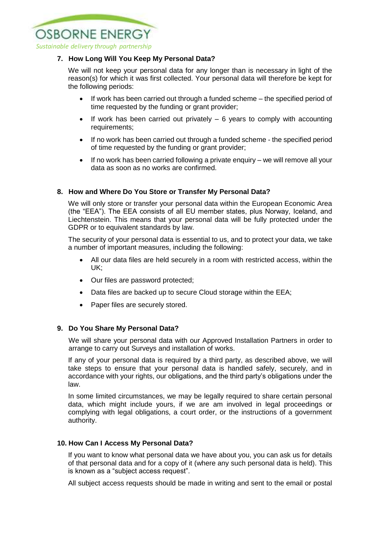

## **7. How Long Will You Keep My Personal Data?**

We will not keep your personal data for any longer than is necessary in light of the reason(s) for which it was first collected. Your personal data will therefore be kept for the following periods:

- If work has been carried out through a funded scheme the specified period of time requested by the funding or grant provider;
- $\bullet$  If work has been carried out privately  $-6$  years to comply with accounting requirements;
- If no work has been carried out through a funded scheme the specified period of time requested by the funding or grant provider;
- If no work has been carried following a private enquiry we will remove all your data as soon as no works are confirmed.

## **8. How and Where Do You Store or Transfer My Personal Data?**

We will only store or transfer your personal data within the European Economic Area (the "EEA"). The EEA consists of all EU member states, plus Norway, Iceland, and Liechtenstein. This means that your personal data will be fully protected under the GDPR or to equivalent standards by law.

The security of your personal data is essential to us, and to protect your data, we take a number of important measures, including the following:

- All our data files are held securely in a room with restricted access, within the UK;
- Our files are password protected;
- Data files are backed up to secure Cloud storage within the EEA;
- Paper files are securely stored.

## **9. Do You Share My Personal Data?**

We will share your personal data with our Approved Installation Partners in order to arrange to carry out Surveys and installation of works.

If any of your personal data is required by a third party, as described above, we will take steps to ensure that your personal data is handled safely, securely, and in accordance with your rights, our obligations, and the third party's obligations under the law.

In some limited circumstances, we may be legally required to share certain personal data, which might include yours, if we are am involved in legal proceedings or complying with legal obligations, a court order, or the instructions of a government authority.

## **10. How Can I Access My Personal Data?**

If you want to know what personal data we have about you, you can ask us for details of that personal data and for a copy of it (where any such personal data is held). This is known as a "subject access request".

All subject access requests should be made in writing and sent to the email or postal